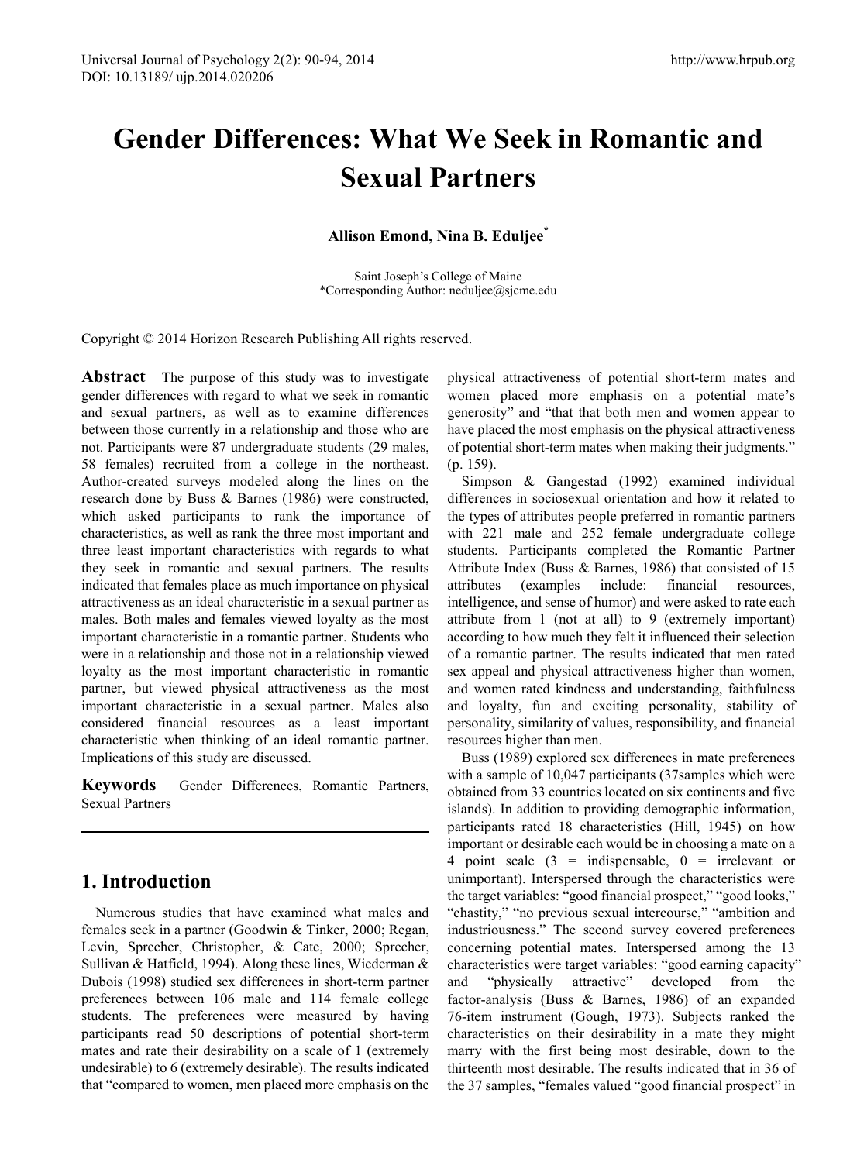# **Gender Differences: What We Seek in Romantic and Sexual Partners**

**Allison Emond, Nina B. Eduljee\***

Saint Joseph's College of Maine \*Corresponding Author: neduljee@sjcme.edu

Copyright © 2014 Horizon Research Publishing All rights reserved.

**Abstract** The purpose of this study was to investigate gender differences with regard to what we seek in romantic and sexual partners, as well as to examine differences between those currently in a relationship and those who are not. Participants were 87 undergraduate students (29 males, 58 females) recruited from a college in the northeast. Author-created surveys modeled along the lines on the research done by Buss & Barnes (1986) were constructed, which asked participants to rank the importance of characteristics, as well as rank the three most important and three least important characteristics with regards to what they seek in romantic and sexual partners. The results indicated that females place as much importance on physical attractiveness as an ideal characteristic in a sexual partner as males. Both males and females viewed loyalty as the most important characteristic in a romantic partner. Students who were in a relationship and those not in a relationship viewed loyalty as the most important characteristic in romantic partner, but viewed physical attractiveness as the most important characteristic in a sexual partner. Males also considered financial resources as a least important characteristic when thinking of an ideal romantic partner. Implications of this study are discussed.

**Keywords** Gender Differences, Romantic Partners, Sexual Partners

## **1. Introduction**

Numerous studies that have examined what males and females seek in a partner (Goodwin & Tinker, 2000; Regan, Levin, Sprecher, Christopher, & Cate, 2000; Sprecher, Sullivan & Hatfield, 1994). Along these lines, Wiederman & Dubois (1998) studied sex differences in short-term partner preferences between 106 male and 114 female college students. The preferences were measured by having participants read 50 descriptions of potential short-term mates and rate their desirability on a scale of 1 (extremely undesirable) to 6 (extremely desirable). The results indicated that "compared to women, men placed more emphasis on the

physical attractiveness of potential short-term mates and women placed more emphasis on a potential mate's generosity" and "that that both men and women appear to have placed the most emphasis on the physical attractiveness of potential short-term mates when making their judgments." (p. 159).

Simpson & Gangestad (1992) examined individual differences in sociosexual orientation and how it related to the types of attributes people preferred in romantic partners with 221 male and 252 female undergraduate college students. Participants completed the Romantic Partner Attribute Index (Buss & Barnes, 1986) that consisted of 15 attributes (examples include: financial resources, intelligence, and sense of humor) and were asked to rate each attribute from 1 (not at all) to 9 (extremely important) according to how much they felt it influenced their selection of a romantic partner. The results indicated that men rated sex appeal and physical attractiveness higher than women, and women rated kindness and understanding, faithfulness and loyalty, fun and exciting personality, stability of personality, similarity of values, responsibility, and financial resources higher than men.

Buss (1989) explored sex differences in mate preferences with a sample of 10,047 participants (37 samples which were obtained from 33 countries located on six continents and five islands). In addition to providing demographic information, participants rated 18 characteristics (Hill, 1945) on how important or desirable each would be in choosing a mate on a 4 point scale  $(3 = \text{indispensable}, 0 = \text{irrelevant} \text{ or }$ unimportant). Interspersed through the characteristics were the target variables: "good financial prospect," "good looks," "chastity," "no previous sexual intercourse," "ambition and industriousness." The second survey covered preferences concerning potential mates. Interspersed among the 13 characteristics were target variables: "good earning capacity" and "physically attractive" developed from the factor-analysis (Buss & Barnes, 1986) of an expanded 76-item instrument (Gough, 1973). Subjects ranked the characteristics on their desirability in a mate they might marry with the first being most desirable, down to the thirteenth most desirable. The results indicated that in 36 of the 37 samples, "females valued "good financial prospect" in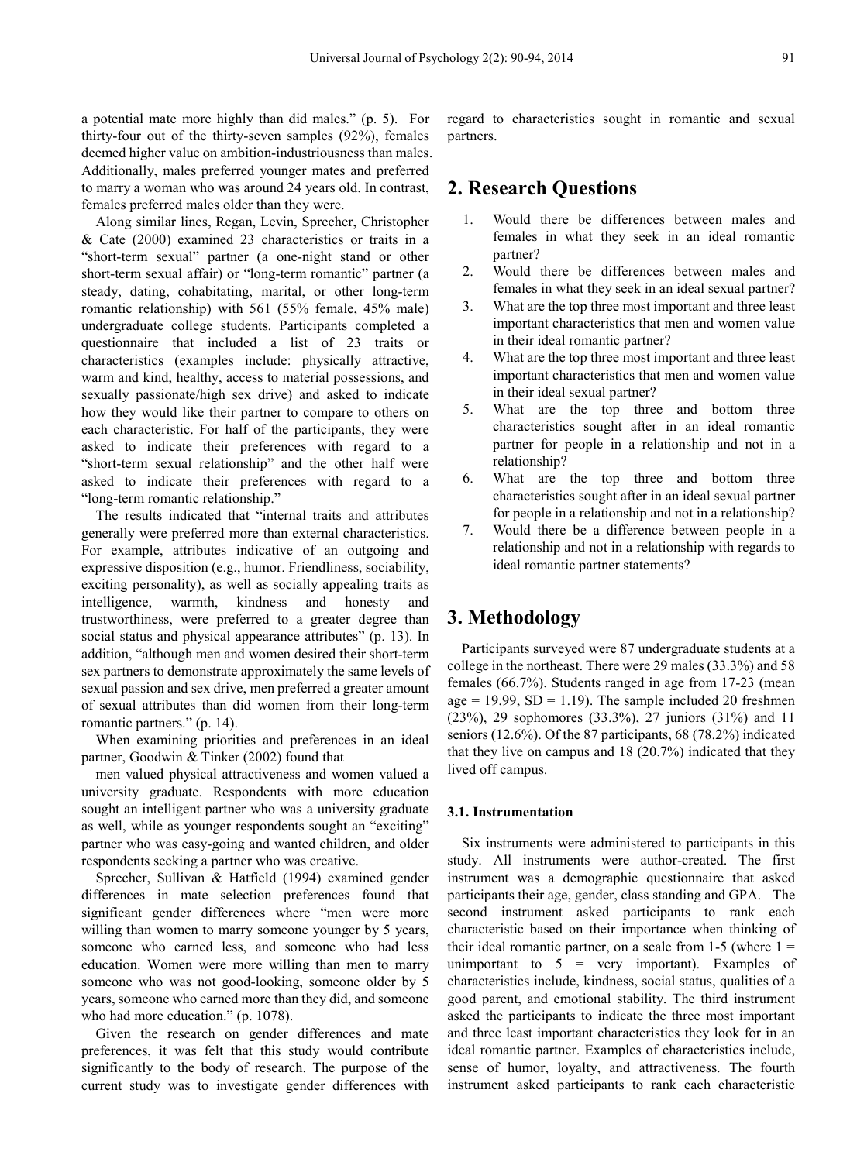a potential mate more highly than did males." (p. 5). For thirty-four out of the thirty-seven samples (92%), females deemed higher value on ambition-industriousness than males. Additionally, males preferred younger mates and preferred to marry a woman who was around 24 years old. In contrast, females preferred males older than they were.

Along similar lines, Regan, Levin, Sprecher, Christopher & Cate (2000) examined 23 characteristics or traits in a "short-term sexual" partner (a one-night stand or other short-term sexual affair) or "long-term romantic" partner (a steady, dating, cohabitating, marital, or other long-term romantic relationship) with 561 (55% female, 45% male) undergraduate college students. Participants completed a questionnaire that included a list of 23 traits or characteristics (examples include: physically attractive, warm and kind, healthy, access to material possessions, and sexually passionate/high sex drive) and asked to indicate how they would like their partner to compare to others on each characteristic. For half of the participants, they were asked to indicate their preferences with regard to a "short-term sexual relationship" and the other half were asked to indicate their preferences with regard to a "long-term romantic relationship."

The results indicated that "internal traits and attributes generally were preferred more than external characteristics. For example, attributes indicative of an outgoing and expressive disposition (e.g., humor. Friendliness, sociability, exciting personality), as well as socially appealing traits as intelligence, warmth, kindness and honesty and trustworthiness, were preferred to a greater degree than social status and physical appearance attributes" (p. 13). In addition, "although men and women desired their short-term sex partners to demonstrate approximately the same levels of sexual passion and sex drive, men preferred a greater amount of sexual attributes than did women from their long-term romantic partners." (p. 14).

When examining priorities and preferences in an ideal partner, Goodwin & Tinker (2002) found that

men valued physical attractiveness and women valued a university graduate. Respondents with more education sought an intelligent partner who was a university graduate as well, while as younger respondents sought an "exciting" partner who was easy-going and wanted children, and older respondents seeking a partner who was creative.

Sprecher, Sullivan & Hatfield (1994) examined gender differences in mate selection preferences found that significant gender differences where "men were more willing than women to marry someone younger by 5 years, someone who earned less, and someone who had less education. Women were more willing than men to marry someone who was not good-looking, someone older by 5 years, someone who earned more than they did, and someone who had more education." (p. 1078).

Given the research on gender differences and mate preferences, it was felt that this study would contribute significantly to the body of research. The purpose of the current study was to investigate gender differences with

regard to characteristics sought in romantic and sexual partners.

## **2. Research Questions**

- 1. Would there be differences between males and females in what they seek in an ideal romantic partner?
- 2. Would there be differences between males and females in what they seek in an ideal sexual partner?
- 3. What are the top three most important and three least important characteristics that men and women value in their ideal romantic partner?
- 4. What are the top three most important and three least important characteristics that men and women value in their ideal sexual partner?
- 5. What are the top three and bottom three characteristics sought after in an ideal romantic partner for people in a relationship and not in a relationship?
- 6. What are the top three and bottom three characteristics sought after in an ideal sexual partner for people in a relationship and not in a relationship?
- 7. Would there be a difference between people in a relationship and not in a relationship with regards to ideal romantic partner statements?

## **3. Methodology**

Participants surveyed were 87 undergraduate students at a college in the northeast. There were 29 males (33.3%) and 58 females (66.7%). Students ranged in age from 17-23 (mean age = 19.99,  $SD = 1.19$ ). The sample included 20 freshmen (23%), 29 sophomores (33.3%), 27 juniors (31%) and 11 seniors (12.6%). Of the 87 participants, 68 (78.2%) indicated that they live on campus and 18 (20.7%) indicated that they lived off campus.

#### **3.1. Instrumentation**

Six instruments were administered to participants in this study. All instruments were author-created. The first instrument was a demographic questionnaire that asked participants their age, gender, class standing and GPA. The second instrument asked participants to rank each characteristic based on their importance when thinking of their ideal romantic partner, on a scale from  $1-5$  (where  $1 =$ unimportant to  $5 = \text{very important}$ . Examples of characteristics include, kindness, social status, qualities of a good parent, and emotional stability. The third instrument asked the participants to indicate the three most important and three least important characteristics they look for in an ideal romantic partner. Examples of characteristics include, sense of humor, loyalty, and attractiveness. The fourth instrument asked participants to rank each characteristic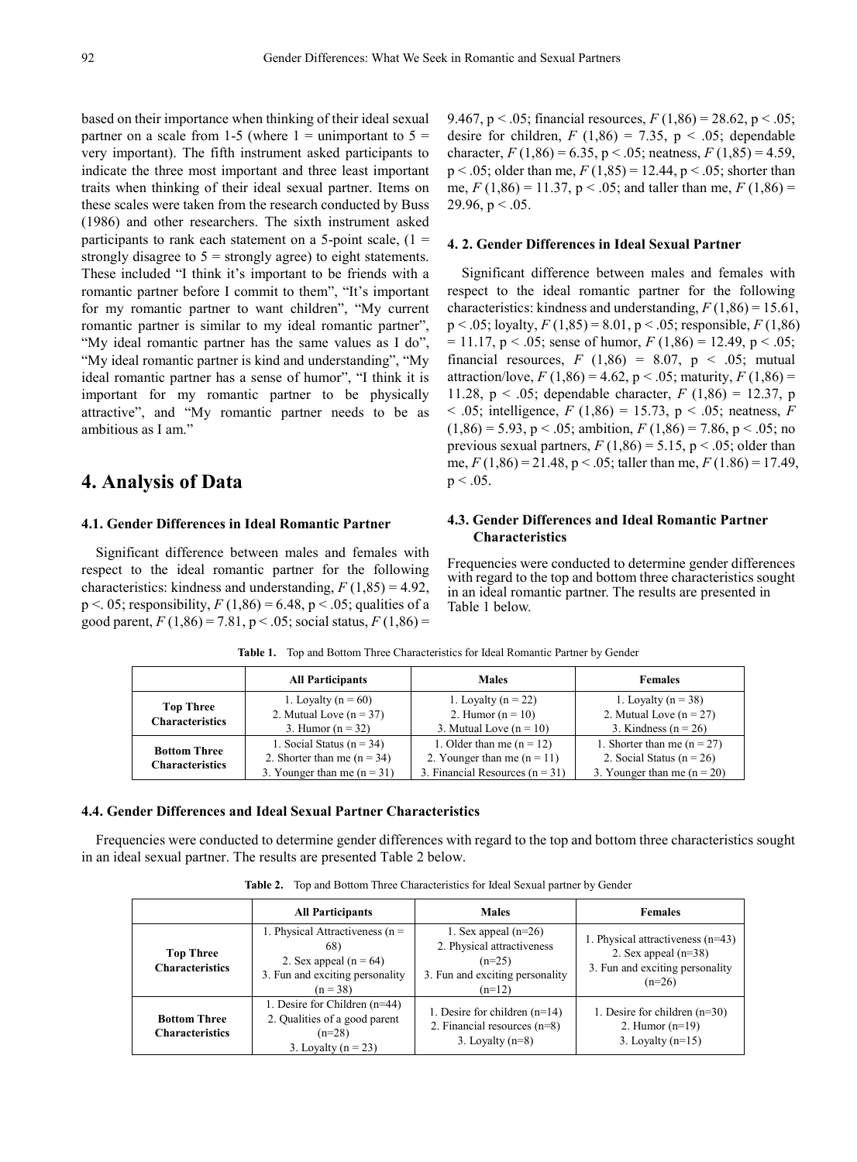based on their importance when thinking of their ideal sexual partner on a scale from 1-5 (where  $1 =$  unimportant to  $5 =$ very important). The fifth instrument asked participants to indicate the three most important and three least important traits when thinking of their ideal sexual partner. Items on these scales were taken from the research conducted by Buss (1986) and other researchers. The sixth instrument asked participants to rank each statement on a 5-point scale,  $(1 =$ strongly disagree to  $5 =$  strongly agree) to eight statements. These included "I think it's important to be friends with a romantic partner before I commit to them", "It's important for my romantic partner to want children", "My current romantic partner is similar to my ideal romantic partner", "My ideal romantic partner has the same values as I do", "My ideal romantic partner is kind and understanding", "My ideal romantic partner has a sense of humor", "I think it is important for my romantic partner to be physically attractive", and "My romantic partner needs to be as ambitious as I am."

## **4. Analysis of Data**

#### **4.1. Gender Differences in Ideal Romantic Partner**

Significant difference between males and females with respect to the ideal romantic partner for the following characteristics: kindness and understanding,  $F(1,85) = 4.92$ ,  $p < 0.05$ ; responsibility,  $F(1,86) = 6.48$ ,  $p < 0.05$ ; qualities of a good parent,  $F(1,86) = 7.81$ ,  $p < .05$ ; social status,  $F(1,86) =$ 

9.467,  $p < .05$ ; financial resources,  $F(1,86) = 28.62$ ,  $p < .05$ ; desire for children,  $F(1,86) = 7.35$ ,  $p < .05$ ; dependable character,  $F(1,86) = 6.35$ ,  $p < .05$ ; neatness,  $F(1,85) = 4.59$ ,  $p < .05$ ; older than me,  $F(1,85) = 12.44$ ,  $p < .05$ ; shorter than me,  $F(1,86) = 11.37$ ,  $p < .05$ ; and taller than me,  $F(1,86) =$ 29.96,  $p < .05$ .

#### **4. 2. Gender Differences in Ideal Sexual Partner**

Significant difference between males and females with respect to the ideal romantic partner for the following characteristics: kindness and understanding,  $F(1,86) = 15.61$ , p < .05; loyalty, *F* (1,85) = 8.01, p < .05; responsible, *F* (1,86)  $= 11.17$ , p < .05; sense of humor,  $F(1,86) = 12.49$ , p < .05; financial resources,  $F(1,86) = 8.07$ ,  $p < .05$ ; mutual attraction/love,  $F(1,86) = 4.62$ ,  $p < .05$ ; maturity,  $F(1,86) =$ 11.28, p < .05; dependable character, *F* (1,86) = 12.37, p  $<$  0.05; intelligence, *F* (1,86) = 15.73, p  $<$  0.05; neatness, *F*  $(1,86) = 5.93$ , p < .05; ambition,  $F(1,86) = 7.86$ , p < .05; no previous sexual partners,  $F(1,86) = 5.15$ ,  $p < .05$ ; older than me,  $F(1,86) = 21.48$ ,  $p < .05$ ; taller than me,  $F(1.86) = 17.49$ ,  $p < .05$ .

#### **4.3. Gender Differences and Ideal Romantic Partner Characteristics**

Frequencies were conducted to determine gender differences with regard to the top and bottom three characteristics sought in an ideal romantic partner. The results are presented in Table 1 below.

|                                               | <b>All Participants</b>                                                                         | <b>Males</b>                                                                                      | <b>Females</b>                                                                                  |
|-----------------------------------------------|-------------------------------------------------------------------------------------------------|---------------------------------------------------------------------------------------------------|-------------------------------------------------------------------------------------------------|
| <b>Top Three</b><br><b>Characteristics</b>    | 1. Loyalty ( $n = 60$ )<br>2. Mutual Love $(n = 37)$<br>3. Humor $(n = 32)$                     | 1. Loyalty ( $n = 22$ )<br>2. Humor $(n = 10)$<br>3. Mutual Love $(n = 10)$                       | 1. Loyalty ( $n = 38$ )<br>2. Mutual Love $(n = 27)$<br>3. Kindness ( $n = 26$ )                |
| <b>Bottom Three</b><br><b>Characteristics</b> | 1. Social Status ( $n = 34$ )<br>2. Shorter than me $(n = 34)$<br>3. Younger than me $(n = 31)$ | 1. Older than me $(n = 12)$<br>2. Younger than me $(n = 11)$<br>3. Financial Resources $(n = 31)$ | 1. Shorter than me $(n = 27)$<br>2. Social Status ( $n = 26$ )<br>3. Younger than me $(n = 20)$ |

**Table 1.** Top and Bottom Three Characteristics for Ideal Romantic Partner by Gender

#### **4.4. Gender Differences and Ideal Sexual Partner Characteristics**

Frequencies were conducted to determine gender differences with regard to the top and bottom three characteristics sought in an ideal sexual partner. The results are presented Table 2 below.

|                                               | <b>All Participants</b>                                                                                                | <b>Males</b>                                                                                                    | <b>Females</b>                                                                                               |
|-----------------------------------------------|------------------------------------------------------------------------------------------------------------------------|-----------------------------------------------------------------------------------------------------------------|--------------------------------------------------------------------------------------------------------------|
| <b>Top Three</b><br><b>Characteristics</b>    | 1. Physical Attractiveness ( $n =$<br>68)<br>2. Sex appeal $(n = 64)$<br>3. Fun and exciting personality<br>$(n = 38)$ | 1. Sex appeal $(n=26)$<br>2. Physical attractiveness<br>$(n=25)$<br>3. Fun and exciting personality<br>$(n=12)$ | 1. Physical attractiveness $(n=43)$<br>2. Sex appeal $(n=38)$<br>3. Fun and exciting personality<br>$(n=26)$ |
| <b>Bottom Three</b><br><b>Characteristics</b> | 1. Desire for Children (n=44)<br>2. Qualities of a good parent<br>$(n=28)$<br>3. Lovalty $(n = 23)$                    | 1. Desire for children $(n=14)$<br>2. Financial resources $(n=8)$<br>3. Lovalty $(n=8)$                         | 1. Desire for children $(n=30)$<br>2. Humor $(n=19)$<br>3. Lovalty $(n=15)$                                  |

**Table 2.** Top and Bottom Three Characteristics for Ideal Sexual partner by Gender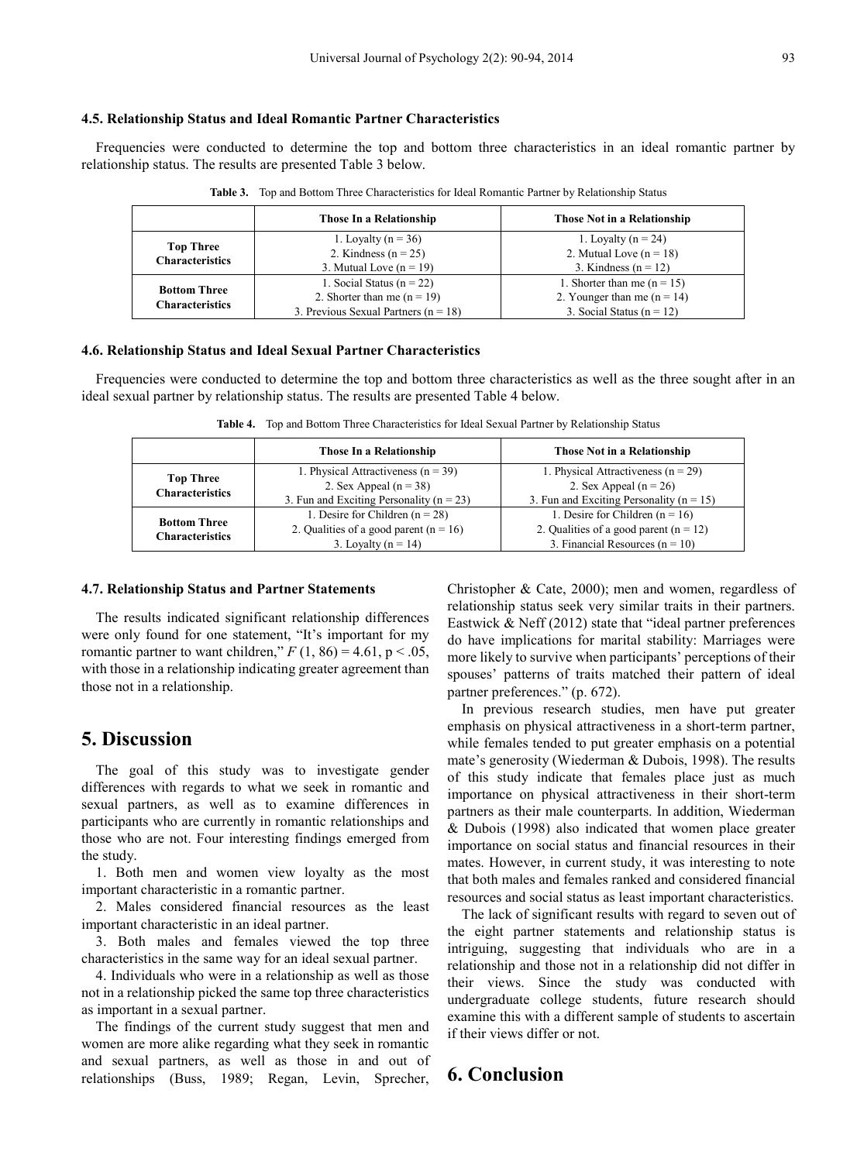#### **4.5. Relationship Status and Ideal Romantic Partner Characteristics**

Frequencies were conducted to determine the top and bottom three characteristics in an ideal romantic partner by relationship status. The results are presented Table 3 below.

|                                               | Those In a Relationship                                                                                    | Those Not in a Relationship                                                                     |
|-----------------------------------------------|------------------------------------------------------------------------------------------------------------|-------------------------------------------------------------------------------------------------|
| <b>Top Three</b><br><b>Characteristics</b>    | 1. Loyalty ( $n = 36$ )<br>2. Kindness $(n = 25)$<br>3. Mutual Love $(n = 19)$                             | 1. Loyalty ( $n = 24$ )<br>2. Mutual Love $(n = 18)$<br>3. Kindness $(n = 12)$                  |
| <b>Bottom Three</b><br><b>Characteristics</b> | 1. Social Status ( $n = 22$ )<br>2. Shorter than me $(n = 19)$<br>3. Previous Sexual Partners ( $n = 18$ ) | 1. Shorter than me $(n = 15)$<br>2. Younger than me $(n = 14)$<br>3. Social Status ( $n = 12$ ) |

**Table 3.** Top and Bottom Three Characteristics for Ideal Romantic Partner by Relationship Status

#### **4.6. Relationship Status and Ideal Sexual Partner Characteristics**

Frequencies were conducted to determine the top and bottom three characteristics as well as the three sought after in an ideal sexual partner by relationship status. The results are presented Table 4 below.

**Table 4.** Top and Bottom Three Characteristics for Ideal Sexual Partner by Relationship Status

|                                               | Those In a Relationship                                                                                           | Those Not in a Relationship                                                                                          |
|-----------------------------------------------|-------------------------------------------------------------------------------------------------------------------|----------------------------------------------------------------------------------------------------------------------|
| <b>Top Three</b><br><b>Characteristics</b>    | 1. Physical Attractiveness $(n = 39)$<br>2. Sex Appeal $(n = 38)$<br>3. Fun and Exciting Personality ( $n = 23$ ) | 1. Physical Attractiveness $(n = 29)$<br>2. Sex Appeal $(n = 26)$<br>3. Fun and Exciting Personality ( $n = 15$ )    |
| <b>Bottom Three</b><br><b>Characteristics</b> | 1. Desire for Children $(n = 28)$<br>2. Qualities of a good parent ( $n = 16$ )<br>3. Lovalty ( $n = 14$ )        | 1. Desire for Children $(n = 16)$<br>2. Qualities of a good parent ( $n = 12$ )<br>3. Financial Resources $(n = 10)$ |

#### **4.7. Relationship Status and Partner Statements**

The results indicated significant relationship differences were only found for one statement, "It's important for my romantic partner to want children,"  $F(1, 86) = 4.61$ , p < .05, with those in a relationship indicating greater agreement than those not in a relationship.

### **5. Discussion**

The goal of this study was to investigate gender differences with regards to what we seek in romantic and sexual partners, as well as to examine differences in participants who are currently in romantic relationships and those who are not. Four interesting findings emerged from the study.

1. Both men and women view loyalty as the most important characteristic in a romantic partner.

2. Males considered financial resources as the least important characteristic in an ideal partner.

3. Both males and females viewed the top three characteristics in the same way for an ideal sexual partner.

4. Individuals who were in a relationship as well as those not in a relationship picked the same top three characteristics as important in a sexual partner.

The findings of the current study suggest that men and women are more alike regarding what they seek in romantic and sexual partners, as well as those in and out of relationships (Buss, 1989; Regan, Levin, Sprecher,

Christopher & Cate, 2000); men and women, regardless of relationship status seek very similar traits in their partners. Eastwick & Neff (2012) state that "ideal partner preferences do have implications for marital stability: Marriages were more likely to survive when participants' perceptions of their spouses' patterns of traits matched their pattern of ideal partner preferences." (p. 672).

In previous research studies, men have put greater emphasis on physical attractiveness in a short-term partner, while females tended to put greater emphasis on a potential mate's generosity (Wiederman & Dubois, 1998). The results of this study indicate that females place just as much importance on physical attractiveness in their short-term partners as their male counterparts. In addition, Wiederman & Dubois (1998) also indicated that women place greater importance on social status and financial resources in their mates. However, in current study, it was interesting to note that both males and females ranked and considered financial resources and social status as least important characteristics.

The lack of significant results with regard to seven out of the eight partner statements and relationship status is intriguing, suggesting that individuals who are in a relationship and those not in a relationship did not differ in their views. Since the study was conducted with undergraduate college students, future research should examine this with a different sample of students to ascertain if their views differ or not.

# **6. Conclusion**